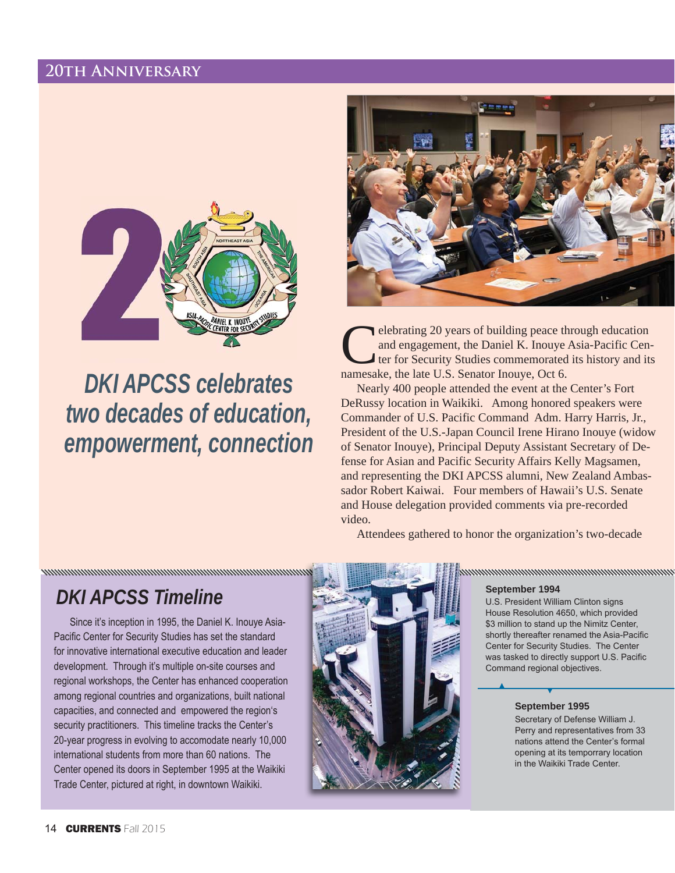# 20TH ANNIVERSARY



**DKI APCSS celebrates** two decades of education, empowerment, connection



elebrating 20 years of building peace through education and engagement, the Daniel K. Inouye Asia-Pacific Center for Security Studies commemorated its history and its namesake, the late U.S. Senator Inouye, Oct 6.

Nearly 400 people attended the event at the Center's Fort DeRussy location in Waikiki. Among honored speakers were Commander of U.S. Pacific Command Adm. Harry Harris, Jr., President of the U.S.-Japan Council Irene Hirano Inouye (widow of Senator Inouye), Principal Deputy Assistant Secretary of Defense for Asian and Pacific Security Affairs Kelly Magsamen, and representing the DKI APCSS alumni, New Zealand Ambassador Robert Kaiwai. Four members of Hawaii's U.S. Senate and House delegation provided comments via pre-recorded video.

Attendees gathered to honor the organization's two-decade

# **DKI APCSS Timeline**

Since it's inception in 1995, the Daniel K. Inouye Asia-Pacific Center for Security Studies has set the standard for innovative international executive education and leader development. Through it's multiple on-site courses and regional workshops, the Center has enhanced cooperation among regional countries and organizations, built national capacities, and connected and empowered the region's security practitioners. This timeline tracks the Center's 20-year progress in evolving to accomodate nearly 10,000 international students from more than 60 nations. The Center opened its doors in September 1995 at the Waikiki Trade Center, pictured at right, in downtown Waikiki.



### nnummunummunummunummunummun

September 1994

U.S. President William Clinton signs House Resolution 4650, which provided \$3 million to stand up the Nimitz Center, shortly thereafter renamed the Asia-Pacific Center for Security Studies. The Center was tasked to directly support U.S. Pacific Command regional objectives.

#### September 1995

Secretary of Defense William J. Perry and representatives from 33 nations attend the Center's formal opening at its temporrary location in the Waikiki Trade Center.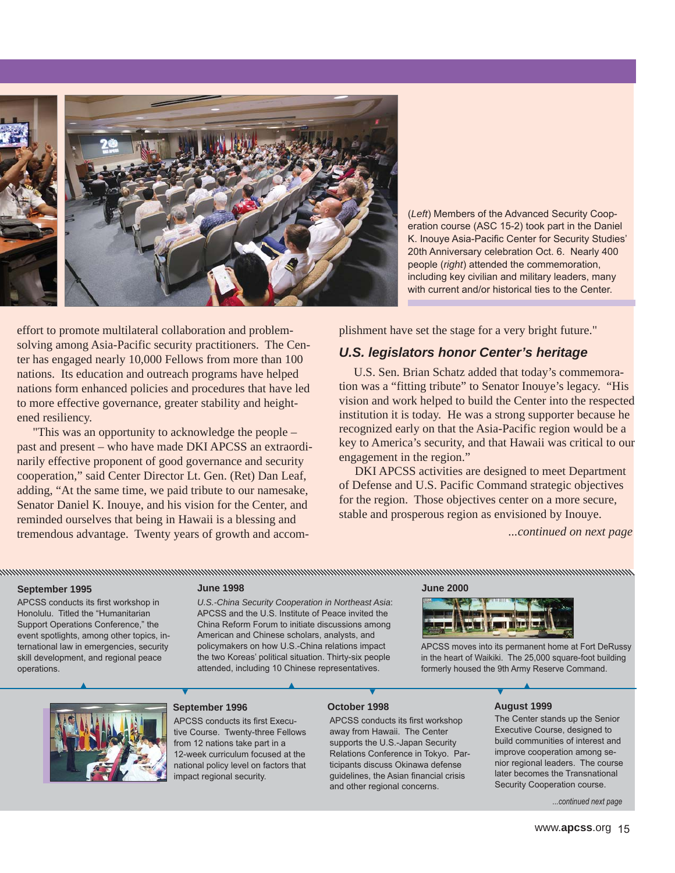

*(Left)* Members of the Advanced Security Cooperation course (ASC 15-2) took part in the Daniel K. Inouve Asia-Pacific Center for Security Studies' 20th Anniversary celebration Oct. 6. Nearly 400 people (right) attended the commemoration, including key civilian and military leaders, many with current and/or historical ties to the Center.

effort to promote multilateral collaboration and problemsolving among Asia-Pacific security practitioners. The Center has engaged nearly 10,000 Fellows from more than 100 nations. Its education and outreach programs have helped nations form enhanced policies and procedures that have led to more effective governance, greater stability and heightened resiliency.

"This was an opportunity to acknowledge the people – past and present – who have made DKI APCSS an extraordinarily effective proponent of good governance and security cooperation," said Center Director Lt. Gen. (Ret) Dan Leaf, adding, "At the same time, we paid tribute to our namesake, Senator Daniel K. Inouye, and his vision for the Center, and reminded ourselves that being in Hawaii is a blessing and tremendous advantage. Twenty years of growth and accomplishment have set the stage for a very bright future."

## *U.S. legislators honor Center's heritage*

U.S. Sen. Brian Schatz added that today's commemoration was a "fitting tribute" to Senator Inouye's legacy. "His vision and work helped to build the Center into the respected institution it is today. He was a strong supporter because he recognized early on that the Asia-Pacific region would be a key to America's security, and that Hawaii was critical to our engagement in the region."

DKI APCSS activities are designed to meet Department of Defense and U.S. Pacific Command strategic objectives for the region. Those objectives center on a more secure, stable and prosperous region as envisioned by Inouye.

*...continued on next page*

#### **September 1995**

APCSS conducts its first workshop in Honolulu. Titled the "Humanitarian Support Operations Conference," the event spotlights, among other topics, international law in emergencies, security skill development, and regional peace operations.

#### **June 1998**

*U.S.-China Security Cooperation in Northeast Asia*: APCSS and the U.S. Institute of Peace invited the China Reform Forum to initiate discussions among American and Chinese scholars, analysts, and policymakers on how U.S.-China relations impact the two Koreas' political situation. Thirty-six people attended, including 10 Chinese representatives.

annum manaman manaman manaman manaman manaman manaman manaman manaman manaman manaman manaman ma

#### **June 2000**



APCSS moves into its permanent home at Fort DeRussy in the heart of Waikiki. The 25,000 square-foot building formerly housed the 9th Army Reserve Command.



#### **September 1996**

APCSS conducts its first Executive Course. Twenty-three Fellows from 12 nations take part in a 12-week curriculum focused at the national policy level on factors that impact regional security.

#### **October 1998**

APCSS conducts its first workshop away from Hawaii. The Center supports the U.S.-Japan Security Relations Conference in Tokyo. Participants discuss Okinawa defense guidelines, the Asian financial crisis and other regional concerns.

#### **August 1999**

The Center stands up the Senior Executive Course, designed to build communities of interest and improve cooperation among senior regional leaders. The course later becomes the Transnational Security Cooperation course.

mcontinued next page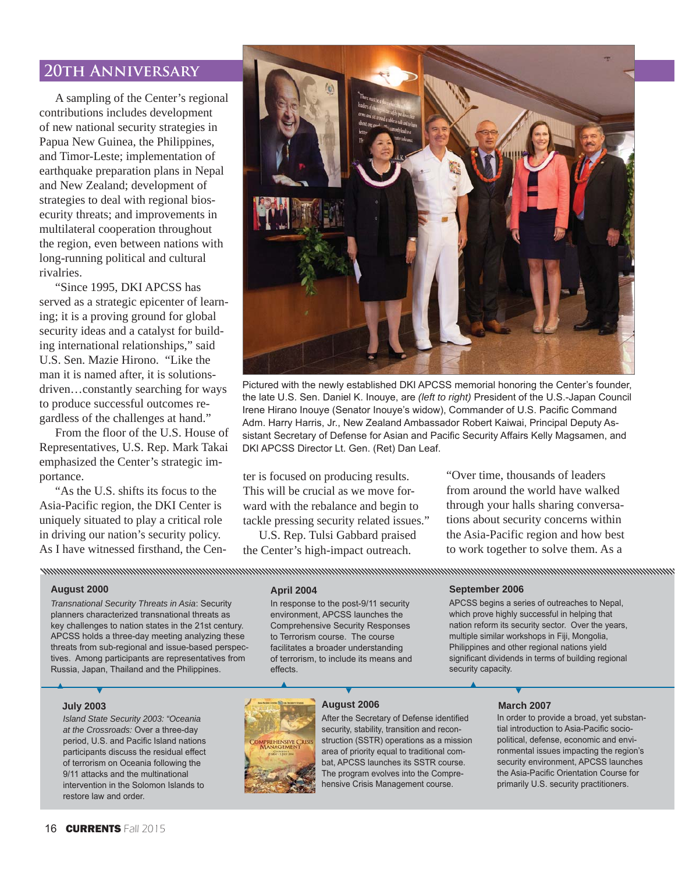# **20th Anniversary**

A sampling of the Center's regional contributions includes development of new national security strategies in Papua New Guinea, the Philippines, and Timor-Leste; implementation of earthquake preparation plans in Nepal and New Zealand; development of strategies to deal with regional biosecurity threats; and improvements in multilateral cooperation throughout the region, even between nations with long-running political and cultural rivalries.

"Since 1995, DKI APCSS has served as a strategic epicenter of learning; it is a proving ground for global security ideas and a catalyst for building international relationships," said U.S. Sen. Mazie Hirono. "Like the man it is named after, it is solutionsdriven…constantly searching for ways to produce successful outcomes regardless of the challenges at hand."

From the floor of the U.S. House of Representatives, U.S. Rep. Mark Takai emphasized the Center's strategic importance.

"As the U.S. shifts its focus to the Asia-Pacific region, the DKI Center is uniquely situated to play a critical role in driving our nation's security policy. As I have witnessed firsthand, the Cen-



Pictured with the newly established DKI APCSS memorial honoring the Center's founder, the late U.S. Sen. Daniel K. Inouye, are (left to right) President of the U.S.-Japan Council Irene Hirano Inouye (Senator Inouye's widow), Commander of U.S. Pacific Command Adm. Harry Harris, Jr., New Zealand Ambassador Robert Kaiwai, Principal Deputy Assistant Secretary of Defense for Asian and Pacific Security Affairs Kelly Magsamen, and DKI APCSS Director Lt. Gen. (Ret) Dan Leaf.

ter is focused on producing results. This will be crucial as we move forward with the rebalance and begin to tackle pressing security related issues."

U.S. Rep. Tulsi Gabbard praised the Center's high-impact outreach.

"Over time, thousands of leaders from around the world have walked through your halls sharing conversations about security concerns within the Asia-Pacific region and how best to work together to solve them. As a

#### **August 2000**

*Transnational Security Threats in Asia: Security* planners characterized transnational threats as key challenges to nation states in the 21st century. APCSS holds a three-day meeting analyzing these threats from sub-regional and issue-based perspectives. Among participants are representatives from Russia, Japan, Thailand and the Philippines.

#### **July 2003**

*Island State Security 2003: "Oceania*  at the Crossroads: Over a three-day period, U.S. and Pacific Island nations participants discuss the residual effect of terrorism on Oceania following the 9/11 attacks and the multinational intervention in the Solomon Islands to restore law and order.

#### **April 2004**

In response to the post-9/11 security environment, APCSS launches the Comprehensive Security Responses to Terrorism course. The course facilitates a broader understanding of terrorism, to include its means and effects.

#### **September 2006**

APCSS begins a series of outreaches to Nepal. which prove highly successful in helping that nation reform its security sector. Over the years, multiple similar workshops in Fiji, Mongolia, Philippines and other regional nations yield significant dividends in terms of building regional security capacity.

### **August 2006**

hensive Crisis Management course.

After the Secretary of Defense identified security, stability, transition and reconstruction (SSTR) operations as a mission area of priority equal to traditional combat, APCSS launches its SSTR course. The program evolves into the Compre-

#### **March 2007**

In order to provide a broad, yet substantial introduction to Asia-Pacific sociopolitical, defense, economic and environmental issues impacting the region's security environment, APCSS launches the Asia-Pacific Orientation Course for primarily U.S. security practitioners.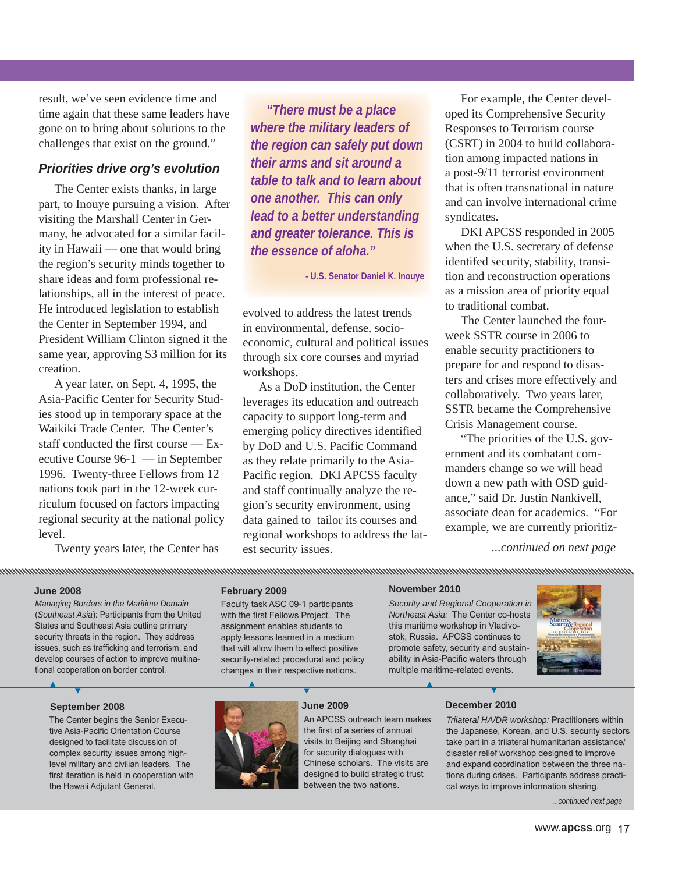result, we've seen evidence time and time again that these same leaders have gone on to bring about solutions to the challenges that exist on the ground."

## *Priorities drive org's evolution*

The Center exists thanks, in large part, to Inouye pursuing a vision. After visiting the Marshall Center in Germany, he advocated for a similar facility in Hawaii — one that would bring the region's security minds together to share ideas and form professional relationships, all in the interest of peace. He introduced legislation to establish the Center in September 1994, and President William Clinton signed it the same year, approving \$3 million for its creation.

A year later, on Sept. 4, 1995, the Asia-Pacific Center for Security Studies stood up in temporary space at the Waikiki Trade Center. The Center's staff conducted the first course — Executive Course 96-1 — in September 1996. Twenty-three Fellows from 12 nations took part in the 12-week curriculum focused on factors impacting regional security at the national policy level.

Twenty years later, the Center has

*"There must be a place where the military leaders of the region can safely put down their arms and sit around a table to talk and to learn about one another. This can only lead to a better understanding and greater tolerance. This is the essence of aloha."*

**- U.S. Senator Daniel K. Inouye**

evolved to address the latest trends in environmental, defense, socioeconomic, cultural and political issues through six core courses and myriad workshops.

As a DoD institution, the Center leverages its education and outreach capacity to support long-term and emerging policy directives identified by DoD and U.S. Pacific Command as they relate primarily to the Asia-Pacific region. DKI APCSS faculty and staff continually analyze the region's security environment, using data gained to tailor its courses and regional workshops to address the latest security issues.

For example, the Center developed its Comprehensive Security Responses to Terrorism course (CSRT) in 2004 to build collaboration among impacted nations in a post-9/11 terrorist environment that is often transnational in nature and can involve international crime syndicates.

DKI APCSS responded in 2005 when the U.S. secretary of defense identifed security, stability, transition and reconstruction operations as a mission area of priority equal to traditional combat.

The Center launched the fourweek SSTR course in 2006 to enable security practitioners to prepare for and respond to disasters and crises more effectively and collaboratively. Two years later, SSTR became the Comprehensive Crisis Management course.

"The priorities of the U.S. government and its combatant commanders change so we will head down a new path with OSD guidance," said Dr. Justin Nankivell, associate dean for academics. "For example, we are currently prioritiz-

*...continued on next page*

#### **June 2008**

*Managing Borders in the Maritime Domain (Southeast Asia)*: Participants from the United States and Southeast Asia outline primary security threats in the region. They address issues, such as trafficking and terrorism, and develop courses of action to improve multinational cooperation on border control.

#### **February 2009**

Faculty task ASC 09-1 participants with the first Fellows Project. The assignment enables students to apply lessons learned in a medium that will allow them to effect positive security-related procedural and policy changes in their respective nations.

#### **November 2010**

*Security and Regional Cooperation in Northeast Asia:* The Center co-hosts this maritime workshop in Vladivostok, Russia. APCSS continues to promote safety, security and sustainability in Asia-Pacific waters through multiple maritime-related events.



The Center begins the Senior Executive Asia-Pacific Orientation Course designed to facilitate discussion of complex security issues among highlevel military and civilian leaders. The first iteration is held in cooperation with the Hawaii Adjutant General.



An APCSS outreach team makes the first of a series of annual visits to Beijing and Shanghai for security dialogues with Chinese scholars. The visits are designed to build strategic trust between the two nations.

#### **December 2010**

*Trilateral HA/DR workshop: Practitioners within* the Japanese, Korean, and U.S. security sectors take part in a trilateral humanitarian assistance/ disaster relief workshop designed to improve and expand coordination between the three nations during crises. Participants address practical ways to improve information sharing.

...continued next page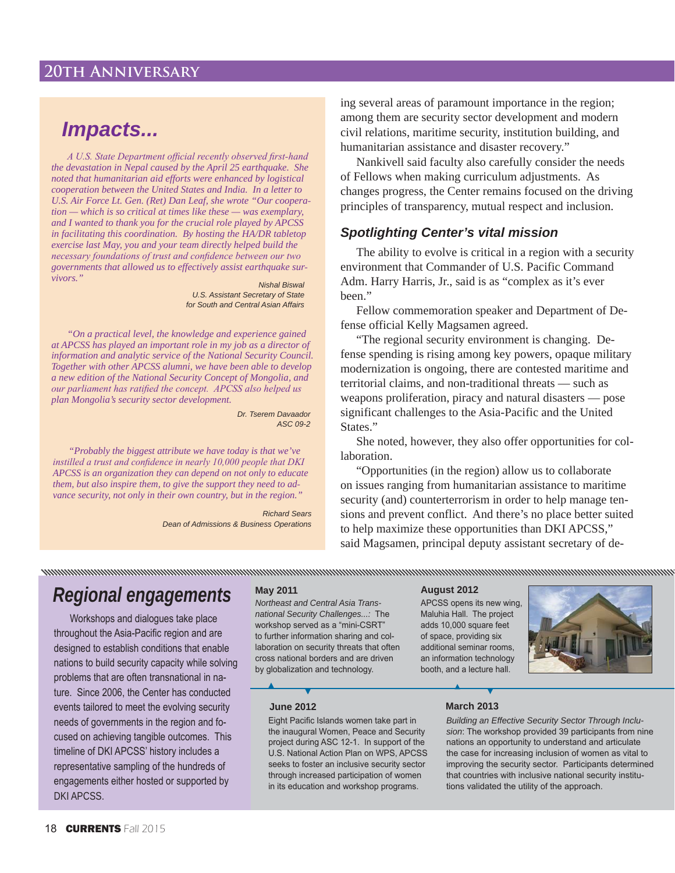# **20th Anniversary**

# *Impacts...*

A U.S. State Department official recently observed first-hand *the devastation in Nepal caused by the April 25 earthquake. She noted that humanitarian aid efforts were enhanced by logistical cooperation between the United States and India. In a letter to U.S. Air Force Lt. Gen. (Ret) Dan Leaf, she wrote "Our coopera tion — which is so critical at times like these — was exemplary, and I wanted to thank you for the crucial role played by APCSS in facilitating this coordination. By hosting the HA/DR tabletop exercise last May, you and your team directly helped build the necessary foundations of trust and confidence between our two governments that allowed us to effectively assist earthquake sur vivors."*

*Nishal Biswal U.S. Assistant Secretary of State for South and Central Asian Affairs*

*"On a practical level, the knowledge and experience gained at APCSS has played an important role in my job as a director of information and analytic service of the National Security Council. Together with other APCSS alumni, we have been able to develop a new edition of the National Security Concept of Mongolia, and <i>our parliament has ratified the concept. APCSS also helped us plan Mongolia's security sector development.*

> *Dr. Tserem Davaador ASC 09-2*

*"Probably the biggest attribute we have today is that we've Loogier instilled a trust and confidence in nearly 10,000 people that DKI APCSS is an organization they can depend on not only to educate them, but also inspire them, to give the support they need to ad vance security, not only in their own country, but in the region."*

> *Richard Sears Dean of Admissions & Business Operations*

ing several areas of paramount importance in the region; among them are security sector development and modern civil relations, maritime security, institution building, and humanitarian assistance and disaster recovery."

Nankivell said faculty also carefully consider the needs of Fellows when making curriculum adjustments. As changes progress, the Center remains focused on the driving principles of transparency, mutual respect and inclusion.

## *Spotlighting Center's vital mission*

The ability to evolve is critical in a region with a security environment that Commander of U.S. Pacific Command Adm. Harry Harris, Jr., said is as "complex as it's ever been."

Fellow commemoration speaker and Department of Defense official Kelly Magsamen agreed.

"The regional security environment is changing. Defense spending is rising among key powers, opaque military modernization is ongoing, there are contested maritime and territorial claims, and non-traditional threats — such as weapons proliferation, piracy and natural disasters — pose significant challenges to the Asia-Pacific and the United States."

She noted, however, they also offer opportunities for collaboration.

"Opportunities (in the region) allow us to collaborate on issues ranging from humanitarian assistance to maritime security (and) counterterrorism in order to help manage tensions and prevent conflict. And there's no place better suited to help maximize these opportunities than DKI APCSS," said Magsamen, principal deputy assistant secretary of de-

# *Regional engagements*

Workshops and dialogues take place throughout the Asia-Pacific region and are designed to establish conditions that enable nations to build security capacity while solving problems that are often transnational in nature. Since 2006, the Center has conducted events tailored to meet the evolving security needs of governments in the region and focused on achieving tangible outcomes. This timeline of DKI APCSS' history includes a representative sampling of the hundreds of engagements either hosted or supported by DKI APCSS.

*Northeast and Central Asia Transnational Security Challenges...:* The workshop served as a "mini-CSRT" to further information sharing and collaboration on security threats that often cross national borders and are driven by globalization and technology.

### **May 2011 August 2012**

APCSS opens its new wing, Maluhia Hall. The project adds 10,000 square feet of space, providing six additional seminar rooms, an information technology booth, and a lecture hall.



#### **June 2012**

Eight Pacific Islands women take part in the inaugural Women, Peace and Security project during ASC 12-1. In support of the U.S. National Action Plan on WPS, APCSS seeks to foster an inclusive security sector through increased participation of women in its education and workshop programs.

#### **March 2013**

*Building an Effective Security Sector Through Inclu*sion: The workshop provided 39 participants from nine nations an opportunity to understand and articulate the case for increasing inclusion of women as vital to improving the security sector. Participants determined that countries with inclusive national security institutions validated the utility of the approach.